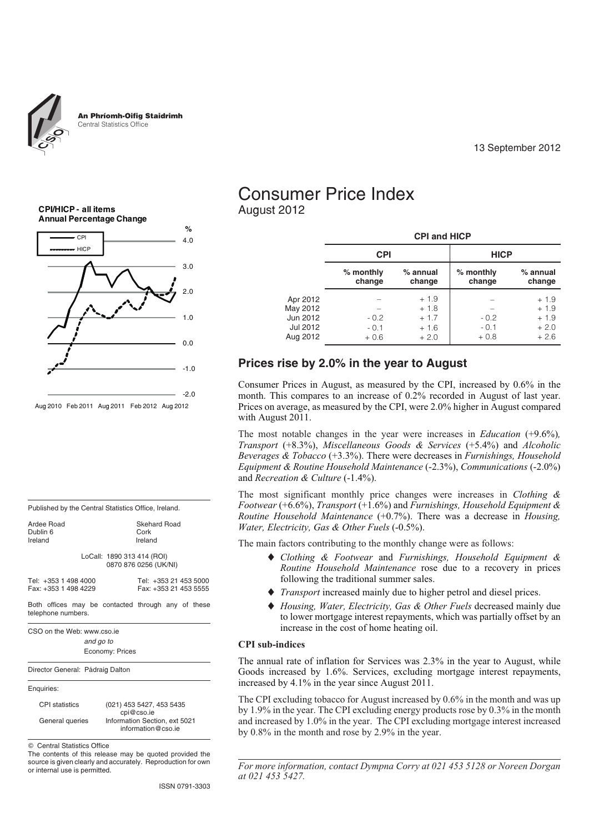

An Phríomh-Oifig Staidrimh Central Statistics Office

13 September 2012

**CPI/HICP - all items Annual Percentage Change**



Published by the Central Statistics Office, Ireland. Ardee Road<br>
Dublin 6 (Sepanda Cork)<br>
Cork Dublin 6<br>Ireland Ireland Ireland LoCall: 1890 313 414 (ROI) 0870 876 0256 (UK/NI) Tel: +353 1 498 4000 Tel: +353 21 453 5000 Fax: +353 21 453 5555 Both offices may be contacted through any of these telephone numbers. CSO on the Web: www.cso.ie *and go to* Economy: Prices Director General: Pádraig Dalton Enquiries: CPI statistics (021) 453 5427, 453 5435 cpi@cso.ie General queries Information Section, ext 5021 information@cso.ie Central Statistics Office The contents of this release may be quoted provided the source is given clearly and accurately. Reproduction for own or internal use is permitted.

## Consumer Price Index August 2012

|                                                          |                            | <b>CPI and HICP</b>                            |                            |                                                |  |  |  |  |  |  |
|----------------------------------------------------------|----------------------------|------------------------------------------------|----------------------------|------------------------------------------------|--|--|--|--|--|--|
|                                                          | <b>CPI</b>                 |                                                | <b>HICP</b>                |                                                |  |  |  |  |  |  |
|                                                          | $%$ monthly<br>change      | $%$ annual<br>change                           | $%$ monthly<br>change      | $%$ annual<br>change                           |  |  |  |  |  |  |
| Apr 2012<br>May 2012<br>Jun 2012<br>Jul 2012<br>Aug 2012 | $-0.2$<br>$-0.1$<br>$+0.6$ | $+1.9$<br>$+1.8$<br>$+1.7$<br>$+1.6$<br>$+2.0$ | $-0.2$<br>$-0.1$<br>$+0.8$ | $+1.9$<br>$+1.9$<br>$+1.9$<br>$+2.0$<br>$+2.6$ |  |  |  |  |  |  |

## **Prices rise by 2.0% in the year to August**

Consumer Prices in August, as measured by the CPI, increased by 0.6% in the month. This compares to an increase of 0.2% recorded in August of last year. Prices on average, as measured by the CPI, were 2.0% higher in August compared with August 2011.

The most notable changes in the year were increases in *Education* (+9.6%)*, Transport* (+8.3%), *Miscellaneous Goods & Services* (+5.4%) and *Alcoholic Beverages & Tobacco* (+3.3%). There were decreases in *Furnishings, Household Equipment & Routine Household Maintenance* (-2.3%), *Communications* (-2.0%) and *Recreation & Culture* (-1.4%).

The most significant monthly price changes were increases in *Clothing & Footwear* (+6.6%), *Transport* (+1.6%) and *Furnishings, Household Equipment & Routine Household Maintenance* (+0.7%). There was a decrease in *Housing, Water, Electricity, Gas & Other Fuels* (-0.5%).

The main factors contributing to the monthly change were as follows:

- *Clothing & Footwear* and *Furnishings, Household Equipment & Routine Household Maintenance* rose due to a recovery in prices following the traditional summer sales.
- *Transport* increased mainly due to higher petrol and diesel prices.
- $\blacklozenge$  *Housing, Water, Electricity, Gas & Other Fuels* decreased mainly due to lower mortgage interest repayments, which was partially offset by an increase in the cost of home heating oil.

#### **CPI sub-indices**

The annual rate of inflation for Services was 2.3% in the year to August, while Goods increased by 1.6%. Services, excluding mortgage interest repayments, increased by 4.1% in the year since August 2011.

The CPI excluding tobacco for August increased by 0.6% in the month and was up by 1.9% in the year. The CPI excluding energy products rose by 0.3% in the month and increased by 1.0% in the year. The CPI excluding mortgage interest increased by 0.8% in the month and rose by 2.9% in the year.

*For more information, contact Dympna Corry at 021 453 5128 or Noreen Dorgan at 021 453 5427.*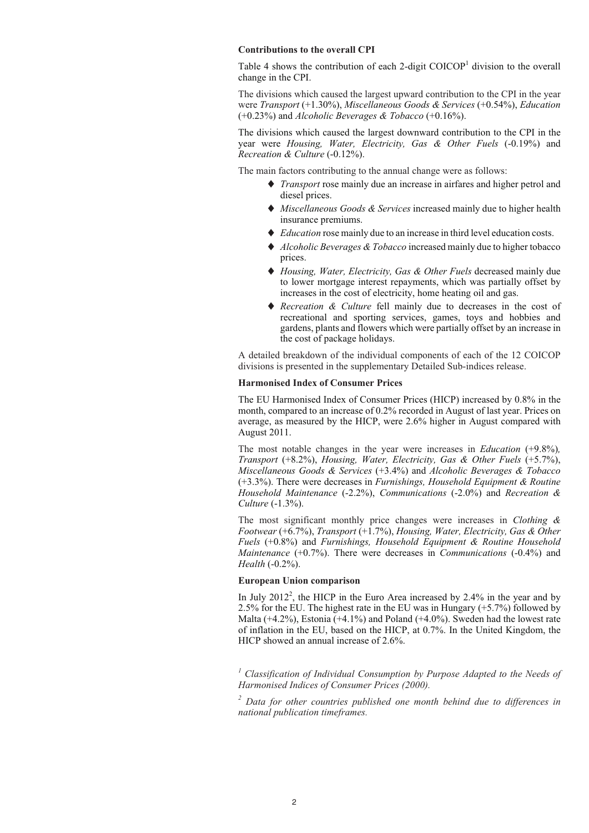#### **Contributions to the overall CPI**

Table 4 shows the contribution of each 2-digit  $COICOP<sup>1</sup>$  division to the overall change in the CPI.

The divisions which caused the largest upward contribution to the CPI in the year were *Transport* (+1.30%), *Miscellaneous Goods & Services* (+0.54%), *Education* (+0.23%) and *Alcoholic Beverages & Tobacco* (+0.16%).

The divisions which caused the largest downward contribution to the CPI in the year were *Housing, Water, Electricity, Gas & Other Fuels* (-0.19%) and *Recreation & Culture* (-0.12%).

The main factors contributing to the annual change were as follows:

- *Transport* rose mainly due an increase in airfares and higher petrol and diesel prices.
- *Miscellaneous Goods & Services* increased mainly due to higher health insurance premiums.
- ◆ *Education* rose mainly due to an increase in third level education costs.
- *Alcoholic Beverages & Tobacco* increased mainly due to higher tobacco prices.
- *Housing, Water, Electricity, Gas & Other Fuels* decreased mainly due to lower mortgage interest repayments, which was partially offset by increases in the cost of electricity, home heating oil and gas.
- *Recreation & Culture* fell mainly due to decreases in the cost of recreational and sporting services, games, toys and hobbies and gardens, plants and flowers which were partially offset by an increase in the cost of package holidays.

A detailed breakdown of the individual components of each of the 12 COICOP divisions is presented in the supplementary Detailed Sub-indices release.

#### **Harmonised Index of Consumer Prices**

The EU Harmonised Index of Consumer Prices (HICP) increased by 0.8% in the month, compared to an increase of 0.2% recorded in August of last year. Prices on average, as measured by the HICP, were 2.6% higher in August compared with August 2011.

The most notable changes in the year were increases in *Education* (+9.8%)*, Transport* (+8.2%), *Housing, Water, Electricity, Gas & Other Fuels* (+5.7%), *Miscellaneous Goods & Services* (+3.4%) and *Alcoholic Beverages & Tobacco* (+3.3%). There were decreases in *Furnishings, Household Equipment & Routine Household Maintenance* (-2.2%), *Communications* (-2.0%) and *Recreation & Culture* (-1.3%).

The most significant monthly price changes were increases in *Clothing & Footwear* (+6.7%), *Transport* (+1.7%), *Housing, Water, Electricity, Gas & Other Fuels* (+0.8%) and *Furnishings, Household Equipment & Routine Household Maintenance* (+0.7%). There were decreases in *Communications* (-0.4%) and *Health* (-0.2%).

#### **European Union comparison**

In July 2012<sup>2</sup>, the HICP in the Euro Area increased by 2.4% in the year and by 2.5% for the EU. The highest rate in the EU was in Hungary (+5.7%) followed by Malta  $(+4.2\%)$ , Estonia  $(+4.1\%)$  and Poland  $(+4.0\%)$ . Sweden had the lowest rate of inflation in the EU, based on the HICP, at 0.7%. In the United Kingdom, the HICP showed an annual increase of 2.6%.

*<sup>1</sup> Classification of Individual Consumption by Purpose Adapted to the Needs of Harmonised Indices of Consumer Prices (2000).*

*<sup>2</sup> Data for other countries published one month behind due to differences in national publication timeframes.*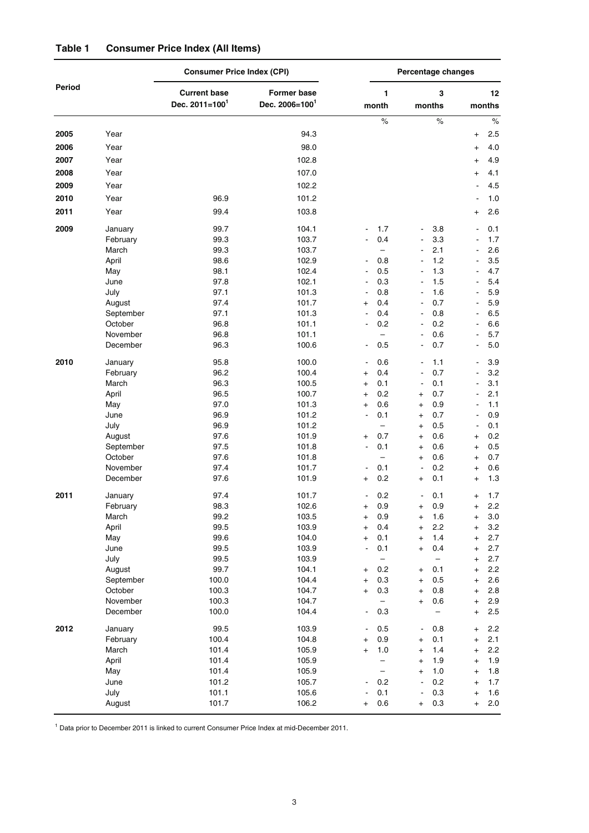|        |                      | <b>Consumer Price Index (CPI)</b>        |                                           | Percentage changes               |                                 |                     |            |                             |              |
|--------|----------------------|------------------------------------------|-------------------------------------------|----------------------------------|---------------------------------|---------------------|------------|-----------------------------|--------------|
| Period |                      | <b>Current base</b><br>Dec. $2011=100^1$ | <b>Former base</b><br>Dec. $2006 = 100^1$ |                                  | 1<br>month                      | months              | 3          |                             | 12<br>months |
|        |                      |                                          |                                           |                                  | $\%$                            |                     | $\%$       |                             | $\%$         |
| 2005   | Year                 |                                          | 94.3                                      |                                  |                                 |                     |            | $\ddot{}$                   | 2.5          |
| 2006   | Year                 |                                          | 98.0                                      |                                  |                                 |                     |            | $^{+}$                      | 4.0          |
| 2007   | Year                 |                                          | 102.8                                     |                                  |                                 |                     |            | $\ddot{}$                   | 4.9          |
| 2008   | Year                 |                                          | 107.0                                     |                                  |                                 |                     |            | $\ddot{}$                   | 4.1          |
| 2009   | Year                 |                                          | 102.2                                     |                                  |                                 |                     |            |                             | 4.5          |
| 2010   | Year                 | 96.9                                     | 101.2                                     |                                  |                                 |                     |            |                             | 1.0          |
| 2011   | Year                 | 99.4                                     | 103.8                                     |                                  |                                 |                     |            | $\ddot{}$                   | 2.6          |
| 2009   | January              | 99.7                                     | 104.1                                     |                                  | 1.7                             | $\overline{a}$      | 3.8        |                             | 0.1          |
|        | February             | 99.3                                     | 103.7                                     | $\overline{\phantom{a}}$         | 0.4                             | $\overline{a}$      | 3.3        | $\overline{a}$              | 1.7          |
|        | March                | 99.3                                     | 103.7                                     |                                  | $\overline{\phantom{0}}$        | $\overline{a}$      | 2.1        | ÷,                          | 2.6          |
|        | April                | 98.6                                     | 102.9                                     | $\qquad \qquad \blacksquare$     | 0.8                             | Ē,                  | 1.2        |                             | 3.5          |
|        | May                  | 98.1                                     | 102.4                                     |                                  | 0.5                             |                     | 1.3        | $\blacksquare$              | 4.7          |
|        | June                 | 97.8                                     | 102.1                                     | $\overline{a}$                   | 0.3                             | $\overline{a}$      | 1.5        | ÷,                          | 5.4          |
|        | July                 | 97.1                                     | 101.3                                     | $\blacksquare$                   | 0.8                             | $\overline{a}$      | 1.6        | ÷,                          | 5.9          |
|        | August               | 97.4                                     | 101.7                                     | $\pmb{+}$                        | 0.4                             | $\overline{a}$      | 0.7        |                             | 5.9          |
|        | September            | 97.1                                     | 101.3                                     |                                  | 0.4                             | $\overline{a}$      | 0.8        |                             | 6.5          |
|        | October              | 96.8                                     | 101.1                                     | $\frac{1}{2}$                    | 0.2                             | $\overline{a}$      | 0.2        | ÷,                          | 6.6          |
|        | November             | 96.8                                     | 101.1                                     |                                  | $\equiv$                        | $\overline{a}$      | 0.6        | $\frac{1}{2}$               | 5.7          |
|        | December             | 96.3                                     | 100.6                                     | $\overline{\phantom{a}}$         | 0.5                             | $\overline{a}$      | 0.7        | ÷,                          | 5.0          |
| 2010   | January              | 95.8                                     | 100.0                                     | $\blacksquare$                   | 0.6                             | $\overline{a}$      | 1.1        | ÷,                          | 3.9          |
|        | February             | 96.2                                     | 100.4                                     | $\pmb{+}$                        | 0.4                             |                     | 0.7        |                             | 3.2          |
|        | March                | 96.3                                     | 100.5                                     | $\begin{array}{c} + \end{array}$ | 0.1                             | $\overline{a}$      | 0.1        | ÷,                          | 3.1          |
|        | April                | 96.5                                     | 100.7                                     | $\overline{+}$                   | 0.2                             | $\ddot{}$           | 0.7        | ä,                          | 2.1          |
|        | May                  | 97.0                                     | 101.3                                     | $\overline{+}$                   | 0.6                             | $\ddot{}$           | 0.9        | ÷,                          | 1.1          |
|        | June                 | 96.9                                     | 101.2<br>101.2                            | $\blacksquare$                   | 0.1<br>$\equiv$                 | $\ddot{}$           | 0.7        | $\blacksquare$              | 0.9          |
|        | July<br>August       | 96.9<br>97.6                             | 101.9                                     |                                  | 0.7                             | $\ddot{}$<br>$^{+}$ | 0.5<br>0.6 | $\blacksquare$              | 0.1<br>0.2   |
|        | September            | 97.5                                     | 101.8                                     | $\overline{+}$<br>$\blacksquare$ | 0.1                             | $^{+}$              | 0.6        | $\ddot{}$<br>$\overline{+}$ | 0.5          |
|        | October              | 97.6                                     | 101.8                                     |                                  | $\overline{\phantom{0}}$        | $^{+}$              | 0.6        | $^{+}$                      | 0.7          |
|        | November             | 97.4                                     | 101.7                                     |                                  | 0.1                             | $\blacksquare$      | 0.2        | $^{+}$                      | 0.6          |
|        | December             | 97.6                                     | 101.9                                     | +                                | 0.2                             | $+$                 | 0.1        | $\ddot{}$                   | 1.3          |
| 2011   | January              | 97.4                                     | 101.7                                     |                                  | 0.2                             | $\overline{a}$      | 0.1        | $\ddot{}$                   | 1.7          |
|        | February             | 98.3                                     | 102.6                                     |                                  | 0.9                             |                     | 0.9        |                             | 2.2          |
|        | March                | 99.2                                     | 103.5                                     | $\pmb{+}$                        | 0.9                             | $\ddot{}$           | 1.6        | $\pmb{+}$                   | 3.0          |
|        | April                | 99.5                                     | 103.9                                     | $\ddot{}$                        | 0.4                             | $\ddot{}$           | 2.2        | $^{+}$                      | 3.2          |
|        | May                  | 99.6                                     | 104.0                                     | $\overline{+}$                   | 0.1                             | $\ddot{}$           | 1.4        | $^{+}$                      | 2.7          |
|        | June                 | 99.5                                     | 103.9                                     |                                  | 0.1                             | $\ddot{}$           | 0.4        | $\overline{+}$              | 2.7          |
|        | July                 | 99.5                                     | 103.9                                     |                                  | $\qquad \qquad -$               |                     | -          | $^{+}$                      | 2.7          |
|        | August               | 99.7                                     | 104.1                                     | $^\mathrm{+}$                    | 0.2                             | $\ddot{}$           | 0.1        | $\pmb{+}$                   | 2.2          |
|        | September            | 100.0                                    | 104.4                                     | $\pmb{+}$                        | 0.3                             | $\ddot{}$           | 0.5        | $\pmb{+}$                   | 2.6          |
|        | October              | 100.3                                    | 104.7                                     | $\overline{+}$                   | 0.3<br>$\overline{\phantom{0}}$ | $^{+}$              | 0.8        | $\overline{+}$              | 2.8          |
|        | November<br>December | 100.3<br>100.0                           | 104.7<br>104.4                            |                                  | 0.3                             | $^{+}$              | 0.6        | $^{+}$<br>$^{+}$            | 2.9<br>2.5   |
| 2012   | January              | 99.5                                     | 103.9                                     | $\qquad \qquad \blacksquare$     | 0.5                             | $\overline{a}$      | 0.8        | $\overline{+}$              | 2.2          |
|        | February             | 100.4                                    | 104.8                                     | $\pmb{+}$                        | 0.9                             | $\pmb{+}$           | 0.1        | $^{+}$                      | 2.1          |
|        | March                | 101.4                                    | 105.9                                     | $\overline{+}$                   | 1.0                             | $^{+}$              | 1.4        | $^{+}$                      | 2.2          |
|        | April                | 101.4                                    | 105.9                                     |                                  | $\overline{\phantom{0}}$        | $^{+}$              | 1.9        | $^{+}$                      | 1.9          |
|        | May                  | 101.4                                    | 105.9                                     |                                  | $\overline{\phantom{0}}$        | $\ddot{}$           | 1.0        | $\pmb{+}$                   | 1.8          |
|        | June                 | 101.2                                    | 105.7                                     |                                  | 0.2                             |                     | 0.2        | $\pmb{+}$                   | 1.7          |
|        | July                 | 101.1                                    | 105.6                                     |                                  | 0.1                             | $\overline{a}$      | 0.3        | $\pmb{+}$                   | 1.6          |
|        | August               | 101.7                                    | 106.2                                     | $\pmb{+}$                        | 0.6                             | $\ddot{}$           | 0.3        | $^{+}$                      | 2.0          |

## **Table 1 Consumer Price Index (All Items)**

<sup>1</sup> Data prior to December 2011 is linked to current Consumer Price Index at mid-December 2011.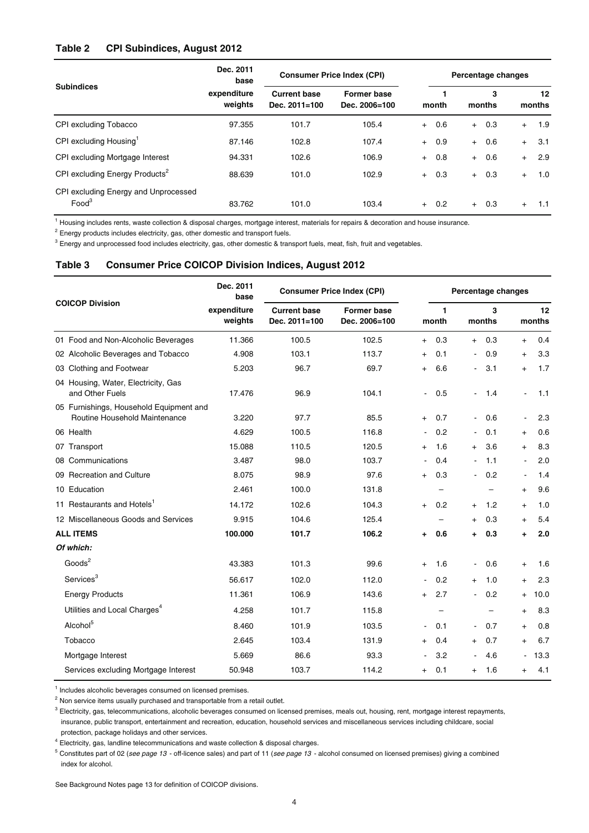### **Table 2 CPI Subindices, August 2012**

|                                                           | Dec. 2011<br>base      | <b>Consumer Price Index (CPI)</b>        |                                     |       | Percentage changes |             |         |              |        |  |
|-----------------------------------------------------------|------------------------|------------------------------------------|-------------------------------------|-------|--------------------|-------------|---------|--------------|--------|--|
| <b>Subindices</b>                                         | expenditure<br>weights | <b>Current base</b><br>Dec. $2011 = 100$ | <b>Former base</b><br>Dec. 2006=100 | month |                    | 3<br>months |         | 12<br>months |        |  |
| CPI excluding Tobacco                                     | 97.355                 | 101.7                                    | 105.4                               |       | $+ 0.6$            |             | $+ 0.3$ | $+$          | 1.9    |  |
| CPI excluding Housing                                     | 87.146                 | 102.8                                    | 107.4                               |       | $+ 0.9$            | $+$         | 0.6     | $+$          | 3.1    |  |
| CPI excluding Mortgage Interest                           | 94.331                 | 102.6                                    | 106.9                               |       | $+ 0.8$            | $+$         | 0.6     | $+$          | 2.9    |  |
| CPI excluding Energy Products <sup>2</sup>                | 88.639                 | 101.0                                    | 102.9                               |       | $+ 0.3$            | $+$         | 0.3     | $+$          | 1.0    |  |
| CPI excluding Energy and Unprocessed<br>Food <sup>3</sup> | 83.762                 | 101.0                                    | 103.4                               |       | $+ 0.2$            |             | $+ 0.3$ | $+$          | $-1.1$ |  |

<sup>1</sup> Housing includes rents, waste collection & disposal charges, mortgage interest, materials for repairs & decoration and house insurance.

<sup>2</sup> Energy products includes electricity, gas, other domestic and transport fuels.

<sup>3</sup> Energy and unprocessed food includes electricity, gas, other domestic & transport fuels, meat, fish, fruit and vegetables.

### **Table 3 Consumer Price COICOP Division Indices, August 2012**

|                                                        | Dec. 2011<br>base      | <b>Consumer Price Index (CPI)</b>    |                                     | Percentage changes |                       |                          |             |                |              |
|--------------------------------------------------------|------------------------|--------------------------------------|-------------------------------------|--------------------|-----------------------|--------------------------|-------------|----------------|--------------|
| <b>COICOP Division</b>                                 | expenditure<br>weights | <b>Current base</b><br>Dec. 2011=100 | <b>Former base</b><br>Dec. 2006=100 |                    | $\mathbf{1}$<br>month |                          | 3<br>months |                | 12<br>months |
| 01 Food and Non-Alcoholic Beverages                    | 11.366                 | 100.5                                | 102.5                               | $+$                | 0.3                   | $+$                      | 0.3         | $+$            | 0.4          |
| 02 Alcoholic Beverages and Tobacco                     | 4.908                  | 103.1                                | 113.7                               | $+$                | 0.1                   | $\blacksquare$           | 0.9         | $+$            | 3.3          |
| 03 Clothing and Footwear                               | 5.203                  | 96.7                                 | 69.7                                | $^{+}$             | 6.6                   | $\blacksquare$           | 3.1         | $+$            | 1.7          |
| 04 Housing, Water, Electricity, Gas<br>and Other Fuels | 17.476                 | 96.9                                 | 104.1                               | $\blacksquare$     | 0.5                   | $\overline{a}$           | 1.4         | $\blacksquare$ | 1.1          |
| 05 Furnishings, Household Equipment and                |                        |                                      |                                     |                    |                       |                          |             |                |              |
| Routine Household Maintenance                          | 3.220                  | 97.7                                 | 85.5                                | $+$                | 0.7                   | $\blacksquare$           | 0.6         | $\blacksquare$ | 2.3          |
| 06 Health                                              | 4.629                  | 100.5                                | 116.8                               | $\blacksquare$     | 0.2                   | $\blacksquare$           | 0.1         | $+$            | 0.6          |
| 07 Transport                                           | 15.088                 | 110.5                                | 120.5                               | $^{+}$             | 1.6                   | $+$                      | 3.6         | $+$            | 8.3          |
| 08 Communications                                      | 3.487                  | 98.0                                 | 103.7                               |                    | 0.4                   |                          | 1.1         | $\blacksquare$ | 2.0          |
| 09 Recreation and Culture                              | 8.075                  | 98.9                                 | 97.6                                | $+$                | 0.3                   | $\overline{\phantom{a}}$ | 0.2         | $\blacksquare$ | 1.4          |
| 10 Education                                           | 2.461                  | 100.0                                | 131.8                               |                    | $\equiv$              |                          |             | $+$            | 9.6          |
| 11 Restaurants and Hotels <sup>1</sup>                 | 14.172                 | 102.6                                | 104.3                               | $+$                | 0.2                   | $+$                      | 1.2         | $+$            | 1.0          |
| 12 Miscellaneous Goods and Services                    | 9.915                  | 104.6                                | 125.4                               |                    |                       | $+$                      | 0.3         | $+$            | 5.4          |
| <b>ALL ITEMS</b>                                       | 100.000                | 101.7                                | 106.2                               | ÷                  | 0.6                   | ÷                        | 0.3         | ÷.             | 2.0          |
| Of which:                                              |                        |                                      |                                     |                    |                       |                          |             |                |              |
| Goods <sup>2</sup>                                     | 43.383                 | 101.3                                | 99.6                                | $+$                | 1.6                   | $\overline{\phantom{a}}$ | 0.6         | $+$            | 1.6          |
| Services <sup>3</sup>                                  | 56.617                 | 102.0                                | 112.0                               |                    | 0.2                   | $+$                      | 1.0         | $+$            | 2.3          |
| <b>Energy Products</b>                                 | 11.361                 | 106.9                                | 143.6                               | $+$                | 2.7                   |                          | 0.2         | $+$            | 10.0         |
| Utilities and Local Charges <sup>4</sup>               | 4.258                  | 101.7                                | 115.8                               |                    | $\qquad \qquad -$     |                          |             | $+$            | 8.3          |
| Alcohol <sup>5</sup>                                   | 8.460                  | 101.9                                | 103.5                               | $\blacksquare$     | 0.1                   | $\blacksquare$           | 0.7         | $+$            | 0.8          |
| Tobacco                                                | 2.645                  | 103.4                                | 131.9                               | $^{+}$             | 0.4                   | $+$                      | 0.7         | $+$            | 6.7          |
| Mortgage Interest                                      | 5.669                  | 86.6                                 | 93.3                                |                    | 3.2                   |                          | 4.6         | $\blacksquare$ | 13.3         |
| Services excluding Mortgage Interest                   | 50.948                 | 103.7                                | 114.2                               | $+$                | 0.1                   | $+$                      | 1.6         | $+$            | 4.1          |
|                                                        |                        |                                      |                                     |                    |                       |                          |             |                |              |

 $^1$  Includes alcoholic beverages consumed on licensed premises.

 $2$  Non service items usually purchased and transportable from a retail outlet.

insurance, public transport, entertainment and recreation, education, household services and miscellaneous services including childcare, social protection, package holidays and other services. <sup>3</sup> Electricity, gas, telecommunications, alcoholic beverages consumed on licensed premises, meals out, housing, rent, mortgage interest repayments,

<sup>4</sup> Electricity, gas, landline telecommunications and waste collection & disposal charges.

<sup>5</sup> Constitutes part of 02 (*see page 13* - off-licence sales) and part of 11 (*see page 13* - alcohol consumed on licensed premises) giving a combined index for alcohol.

See Background Notes page 13 for definition of COICOP divisions.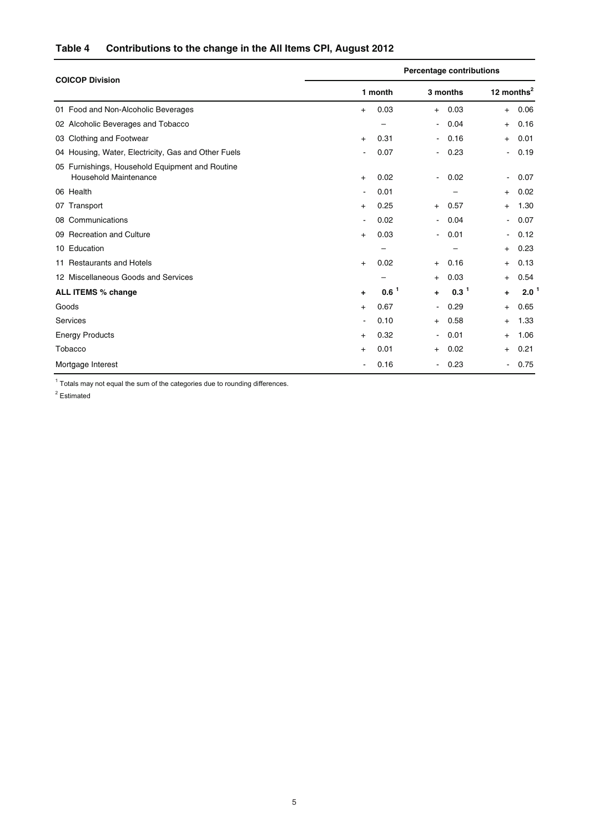## **Table 4 Contributions to the change in the All Items CPI, August 2012**

| <b>COICOP Division</b>                                                          | <b>Percentage contributions</b> |                     |                          |          |                |      |  |  |
|---------------------------------------------------------------------------------|---------------------------------|---------------------|--------------------------|----------|----------------|------|--|--|
|                                                                                 |                                 | 1 month             |                          | 3 months | 12 months $2$  |      |  |  |
| 01 Food and Non-Alcoholic Beverages                                             | $+$                             | 0.03                | $^{+}$                   | 0.03     | $+$            | 0.06 |  |  |
| 02 Alcoholic Beverages and Tobacco                                              |                                 |                     | $\overline{\phantom{0}}$ | 0.04     | $+$            | 0.16 |  |  |
| 03 Clothing and Footwear                                                        | $\ddot{}$                       | 0.31                | $\overline{\phantom{0}}$ | 0.16     | $+$            | 0.01 |  |  |
| 04 Housing, Water, Electricity, Gas and Other Fuels                             |                                 | 0.07                | $\blacksquare$           | 0.23     | $\sim$         | 0.19 |  |  |
| 05 Furnishings, Household Equipment and Routine<br><b>Household Maintenance</b> | $^{+}$                          | 0.02                | $\overline{\phantom{0}}$ | 0.02     | $\blacksquare$ | 0.07 |  |  |
| 06 Health                                                                       |                                 | 0.01                |                          |          | $+$            | 0.02 |  |  |
| 07 Transport                                                                    | $+$                             | 0.25                | $+$                      | 0.57     | $+$            | 1.30 |  |  |
| 08 Communications                                                               |                                 | 0.02                | $\blacksquare$           | 0.04     | $\blacksquare$ | 0.07 |  |  |
| 09 Recreation and Culture                                                       | $+$                             | 0.03                | ٠                        | 0.01     | $\blacksquare$ | 0.12 |  |  |
| 10 Education                                                                    |                                 |                     |                          |          | $+$            | 0.23 |  |  |
| 11 Restaurants and Hotels                                                       | $+$                             | 0.02                | $^{+}$                   | 0.16     | $+$            | 0.13 |  |  |
| 12 Miscellaneous Goods and Services                                             |                                 |                     | $^{+}$                   | 0.03     | $+$            | 0.54 |  |  |
| <b>ALL ITEMS % change</b>                                                       | $\ddot{}$                       | $0.6^{\frac{1}{2}}$ | $\ddot{}$                | $0.3^1$  | $+$            | 2.0  |  |  |
| Goods                                                                           | $\ddot{}$                       | 0.67                | $\overline{\phantom{0}}$ | 0.29     | $+$            | 0.65 |  |  |
| Services                                                                        |                                 | 0.10                | $^{+}$                   | 0.58     | $+$            | 1.33 |  |  |
| <b>Energy Products</b>                                                          | $^{+}$                          | 0.32                | $\blacksquare$           | 0.01     | $+$            | 1.06 |  |  |
| Tobacco                                                                         | $\ddot{}$                       | 0.01                | $^{+}$                   | 0.02     | $+$            | 0.21 |  |  |
| Mortgage Interest                                                               |                                 | 0.16                | $\blacksquare$           | 0.23     | $\sim$         | 0.75 |  |  |

 $1$  Totals may not equal the sum of the categories due to rounding differences.

<sup>2</sup> Estimated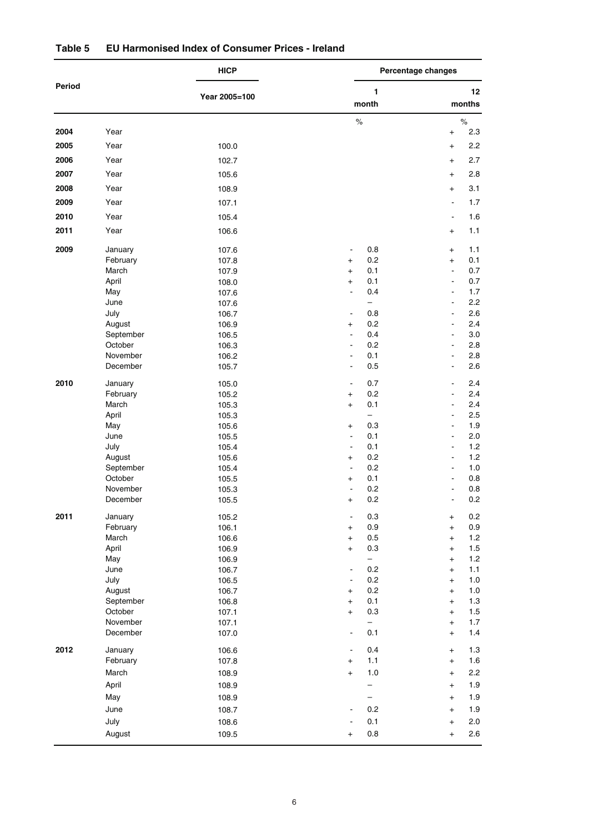|        |                | <b>HICP</b>    |                                         | Percentage changes                                |  |  |  |  |
|--------|----------------|----------------|-----------------------------------------|---------------------------------------------------|--|--|--|--|
| Period |                |                | $\mathbf{1}$                            | 12 <sup>°</sup>                                   |  |  |  |  |
|        |                | Year 2005=100  | month                                   | months                                            |  |  |  |  |
|        |                |                | $\%$                                    | $\%$                                              |  |  |  |  |
| 2004   | Year           |                |                                         | 2.3<br>$+$                                        |  |  |  |  |
| 2005   | Year           | 100.0          |                                         | 2.2<br>$+$                                        |  |  |  |  |
| 2006   | Year           | 102.7          |                                         | 2.7<br>$\ddot{}$                                  |  |  |  |  |
| 2007   | Year           | 105.6          |                                         | 2.8<br>$+$                                        |  |  |  |  |
| 2008   | Year           | 108.9          |                                         | 3.1<br>$^{+}$                                     |  |  |  |  |
| 2009   | Year           | 107.1          |                                         | 1.7<br>$\blacksquare$                             |  |  |  |  |
| 2010   | Year           | 105.4          |                                         | 1.6                                               |  |  |  |  |
| 2011   | Year           | 106.6          |                                         | 1.1<br>$+$                                        |  |  |  |  |
| 2009   | January        | 107.6          | 0.8<br>$\blacksquare$                   | 1.1<br>$+$                                        |  |  |  |  |
|        | February       | 107.8          | 0.2<br>$+$                              | 0.1<br>$+$                                        |  |  |  |  |
|        | March          | 107.9          | 0.1<br>$+$                              | 0.7<br>$\blacksquare$                             |  |  |  |  |
|        | April          | 108.0          | 0.1<br>$^{+}$                           | 0.7<br>$\blacksquare$                             |  |  |  |  |
|        | May            | 107.6          | 0.4<br>$\blacksquare$                   | 1.7<br>$\blacksquare$                             |  |  |  |  |
|        | June           | 107.6          | $\overline{\phantom{0}}$                | 2.2<br>$\blacksquare$                             |  |  |  |  |
|        | July           | 106.7          | 0.8<br>$\blacksquare$                   | 2.6<br>$\blacksquare$                             |  |  |  |  |
|        | August         | 106.9          | 0.2<br>$^{+}$                           | 2.4<br>$\blacksquare$                             |  |  |  |  |
|        | September      | 106.5          | 0.4<br>$\blacksquare$                   | 3.0<br>$\blacksquare$                             |  |  |  |  |
|        | October        | 106.3          | 0.2<br>$\overline{\phantom{a}}$         | 2.8<br>$\blacksquare$                             |  |  |  |  |
|        | November       | 106.2          | 0.1<br>ä,                               | 2.8<br>$\blacksquare$                             |  |  |  |  |
|        | December       | 105.7          | 0.5<br>$\blacksquare$                   | 2.6<br>$\blacksquare$                             |  |  |  |  |
| 2010   | January        | 105.0          | 0.7<br>$\blacksquare$                   | 2.4<br>$\blacksquare$                             |  |  |  |  |
|        | February       | 105.2          | 0.2<br>$\ddot{}$                        | 2.4<br>$\blacksquare$                             |  |  |  |  |
|        | March          | 105.3          | 0.1<br>$\ddot{}$                        | 2.4<br>$\blacksquare$                             |  |  |  |  |
|        | April          | 105.3          | Ξ.                                      | 2.5<br>$\blacksquare$                             |  |  |  |  |
|        | May            | 105.6          | 0.3<br>$\ddot{}$<br>0.1                 | 1.9<br>$\overline{\phantom{a}}$<br>$\blacksquare$ |  |  |  |  |
|        | June<br>July   | 105.5<br>105.4 | $\blacksquare$<br>0.1<br>$\blacksquare$ | 2.0<br>1.2<br>$\blacksquare$                      |  |  |  |  |
|        | August         | 105.6          | 0.2<br>$\ddot{}$                        | 1.2<br>$\blacksquare$                             |  |  |  |  |
|        | September      | 105.4          | 0.2<br>$\blacksquare$                   | $1.0\,$<br>$\blacksquare$                         |  |  |  |  |
|        | October        | 105.5          | 0.1<br>$^{+}$                           | 0.8                                               |  |  |  |  |
|        | November       | 105.3          | 0.2<br>$\blacksquare$                   | 0.8                                               |  |  |  |  |
|        | December       | 105.5          | 0.2<br>$\ddot{}$                        | 0.2<br>$\blacksquare$                             |  |  |  |  |
| 2011   | January        | 105.2          | 0.3<br>$\blacksquare$                   | 0.2<br>$\ddot{}$                                  |  |  |  |  |
|        | February       | 106.1          | 0.9<br>$+$                              | 0.9<br>$+$                                        |  |  |  |  |
|        | March          | 106.6          | 0.5<br>$+$                              | $1.2$<br>$+$                                      |  |  |  |  |
|        | April          | 106.9          | 0.3<br>$+$                              | 1.5<br>$+$                                        |  |  |  |  |
|        | May            | 106.9          | -                                       | $1.2$<br>$\ddot{}$                                |  |  |  |  |
|        | June           | 106.7          | 0.2<br>$\blacksquare$                   | $1.1$<br>$\ddot{}$                                |  |  |  |  |
|        | July<br>August | 106.5          | 0.2<br>$\blacksquare$<br>0.2            | $1.0\,$<br>$+$<br>$1.0\,$                         |  |  |  |  |
|        | September      | 106.7<br>106.8 | $+$<br>0.1<br>$+$                       | $+$<br>$1.3$<br>$+$                               |  |  |  |  |
|        | October        | 107.1          | 0.3<br>$+$                              | 1.5<br>$+$                                        |  |  |  |  |
|        | November       | 107.1          | -                                       | 1.7<br>$+$                                        |  |  |  |  |
|        | December       | 107.0          | 0.1<br>$\blacksquare$                   | $1.4$<br>$+$                                      |  |  |  |  |
| 2012   | January        | 106.6          | 0.4<br>$\blacksquare$                   | 1.3<br>$+$                                        |  |  |  |  |
|        | February       | 107.8          | 1.1<br>$+$                              | 1.6<br>$+$                                        |  |  |  |  |
|        | March          | 108.9          | $1.0$<br>$+$                            | 2.2<br>$+$                                        |  |  |  |  |
|        | April          | 108.9          | -                                       | 1.9<br>$\ddot{}$                                  |  |  |  |  |
|        | May            | 108.9          | -                                       | 1.9<br>$+$                                        |  |  |  |  |
|        | June           | 108.7          | 0.2                                     | 1.9<br>$+$                                        |  |  |  |  |
|        | July           | 108.6          | 0.1                                     | 2.0<br>$+$                                        |  |  |  |  |
|        | August         | 109.5          | 0.8<br>$\begin{array}{c} + \end{array}$ | 2.6<br>$+$                                        |  |  |  |  |
|        |                |                |                                         |                                                   |  |  |  |  |

## **Table 5 EU Harmonised Index of Consumer Prices - Ireland**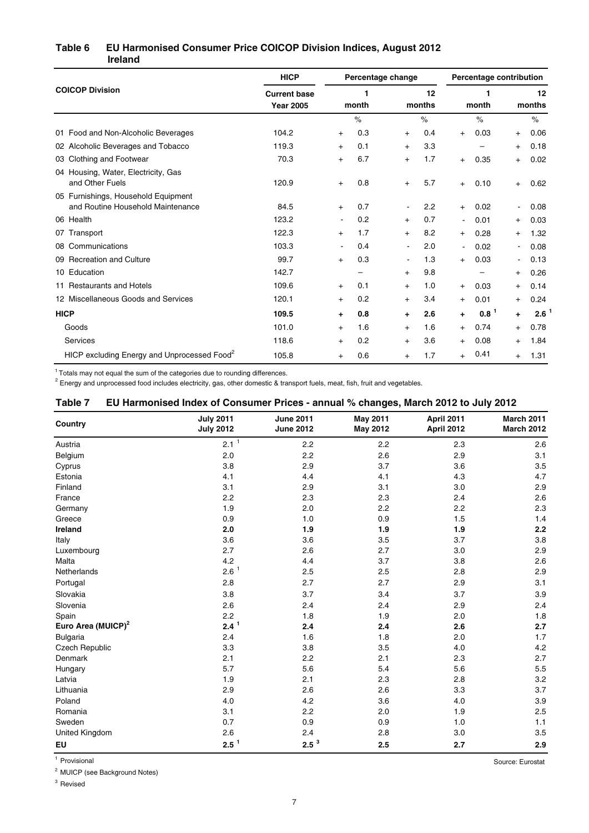### **Ireland Table 6 EU Harmonised Consumer Price COICOP Division Indices, August 2012**

|                                                                          | <b>HICP</b>                                           | Percentage change |      |                |      | Percentage contribution |                          |                |      |
|--------------------------------------------------------------------------|-------------------------------------------------------|-------------------|------|----------------|------|-------------------------|--------------------------|----------------|------|
| <b>COICOP Division</b>                                                   | <b>Current base</b><br>1<br><b>Year 2005</b><br>month |                   |      | 12<br>months   |      | 1<br>month              |                          | 12<br>months   |      |
|                                                                          |                                                       |                   | $\%$ |                | $\%$ |                         | $\%$                     |                | $\%$ |
| 01 Food and Non-Alcoholic Beverages                                      | 104.2                                                 | $\ddot{}$         | 0.3  | $\ddot{}$      | 0.4  | $+$                     | 0.03                     | $+$            | 0.06 |
| 02 Alcoholic Beverages and Tobacco                                       | 119.3                                                 | $+$               | 0.1  | $+$            | 3.3  |                         | -                        | $^{+}$         | 0.18 |
| 03 Clothing and Footwear                                                 | 70.3                                                  | $+$               | 6.7  | $+$            | 1.7  | $+$                     | 0.35                     | $^{+}$         | 0.02 |
| 04 Housing, Water, Electricity, Gas<br>and Other Fuels                   | 120.9                                                 | $\ddot{}$         | 0.8  | $\ddot{}$      | 5.7  | $+$                     | 0.10                     | $+$            | 0.62 |
| 05 Furnishings, Household Equipment<br>and Routine Household Maintenance | 84.5                                                  | $+$               | 0.7  |                | 2.2  | $+$                     | 0.02                     |                | 0.08 |
| 06 Health                                                                | 123.2                                                 | $\blacksquare$    | 0.2  | $+$            | 0.7  | $\blacksquare$          | 0.01                     | $^{+}$         | 0.03 |
| 07 Transport                                                             | 122.3                                                 | $\ddot{}$         | 1.7  | $+$            | 8.2  | $^{+}$                  | 0.28                     | $^{+}$         | 1.32 |
| 08 Communications                                                        | 103.3                                                 | $\blacksquare$    | 0.4  | $\blacksquare$ | 2.0  | $\blacksquare$          | 0.02                     | ۰.             | 0.08 |
| 09 Recreation and Culture                                                | 99.7                                                  | $+$               | 0.3  | $\blacksquare$ | 1.3  | $+$                     | 0.03                     | $\blacksquare$ | 0.13 |
| 10 Education                                                             | 142.7                                                 |                   | -    | $+$            | 9.8  |                         | $\overline{\phantom{0}}$ | $^{+}$         | 0.26 |
| 11 Restaurants and Hotels                                                | 109.6                                                 | $^{+}$            | 0.1  | $\ddot{}$      | 1.0  | $^{+}$                  | 0.03                     | $^{+}$         | 0.14 |
| 12 Miscellaneous Goods and Services                                      | 120.1                                                 | $+$               | 0.2  | $+$            | 3.4  | $+$                     | 0.01                     | $^{+}$         | 0.24 |
| <b>HICP</b>                                                              | 109.5                                                 | $\ddot{}$         | 0.8  | ÷              | 2.6  | ÷                       | $0.8-1$                  | $\ddot{}$      | 2.6  |
| Goods                                                                    | 101.0                                                 | $+$               | 1.6  | $+$            | 1.6  | $^{+}$                  | 0.74                     | $^{+}$         | 0.78 |
| Services                                                                 | 118.6                                                 | $\ddot{}$         | 0.2  | $\ddot{}$      | 3.6  | $\ddot{}$               | 0.08                     | $^{+}$         | 1.84 |
| HICP excluding Energy and Unprocessed Food <sup>2</sup>                  | 105.8                                                 | $\ddot{}$         | 0.6  | $\ddot{}$      | 1.7  | $+$                     | 0.41                     | $^{+}$         | 1.31 |

 $1$  Totals may not equal the sum of the categories due to rounding differences.

 $^2$  Energy and unprocessed food includes electricity, gas, other domestic & transport fuels, meat, fish, fruit and vegetables.

#### **Table 7 EU Harmonised Index of Consumer Prices - annual % changes, March 2012 to July 2012**

| Country                        | <b>July 2011</b><br><b>July 2012</b> | <b>June 2011</b><br><b>June 2012</b> | <b>May 2011</b><br><b>May 2012</b> | April 2011<br>April 2012 | <b>March 2011</b><br><b>March 2012</b> |
|--------------------------------|--------------------------------------|--------------------------------------|------------------------------------|--------------------------|----------------------------------------|
| Austria                        | $2.1-1$                              | 2.2                                  | 2.2                                | 2.3                      | 2.6                                    |
| Belgium                        | 2.0                                  | 2.2                                  | 2.6                                | 2.9                      | 3.1                                    |
| Cyprus                         | 3.8                                  | 2.9                                  | 3.7                                | 3.6                      | 3.5                                    |
| Estonia                        | 4.1                                  | 4.4                                  | 4.1                                | 4.3                      | 4.7                                    |
| Finland                        | 3.1                                  | 2.9                                  | 3.1                                | 3.0                      | 2.9                                    |
| France                         | 2.2                                  | 2.3                                  | 2.3                                | 2.4                      | 2.6                                    |
| Germany                        | 1.9                                  | 2.0                                  | 2.2                                | 2.2                      | 2.3                                    |
| Greece                         | 0.9                                  | 1.0                                  | 0.9                                | 1.5                      | 1.4                                    |
| Ireland                        | 2.0                                  | 1.9                                  | 1.9                                | 1.9                      | 2.2                                    |
| Italy                          | 3.6                                  | 3.6                                  | 3.5                                | 3.7                      | 3.8                                    |
| Luxembourg                     | 2.7                                  | 2.6                                  | 2.7                                | 3.0                      | 2.9                                    |
| Malta                          | 4.2                                  | 4.4                                  | 3.7                                | 3.8                      | 2.6                                    |
| Netherlands                    | 2.6 <sup>1</sup>                     | 2.5                                  | 2.5                                | 2.8                      | 2.9                                    |
| Portugal                       | 2.8                                  | 2.7                                  | 2.7                                | 2.9                      | 3.1                                    |
| Slovakia                       | 3.8                                  | 3.7                                  | 3.4                                | 3.7                      | 3.9                                    |
| Slovenia                       | 2.6                                  | 2.4                                  | 2.4                                | 2.9                      | 2.4                                    |
| Spain                          | 2.2                                  | 1.8                                  | 1.9                                | 2.0                      | 1.8                                    |
| Euro Area (MUICP) <sup>2</sup> | $2.4^1$                              | 2.4                                  | 2.4                                | 2.6                      | 2.7                                    |
| Bulgaria                       | 2.4                                  | 1.6                                  | 1.8                                | 2.0                      | 1.7                                    |
| Czech Republic                 | 3.3                                  | 3.8                                  | 3.5                                | 4.0                      | 4.2                                    |
| Denmark                        | 2.1                                  | 2.2                                  | 2.1                                | 2.3                      | 2.7                                    |
| Hungary                        | 5.7                                  | 5.6                                  | 5.4                                | 5.6                      | 5.5                                    |
| Latvia                         | 1.9                                  | 2.1                                  | 2.3                                | 2.8                      | 3.2                                    |
| Lithuania                      | 2.9                                  | 2.6                                  | 2.6                                | 3.3                      | 3.7                                    |
| Poland                         | 4.0                                  | 4.2                                  | 3.6                                | 4.0                      | 3.9                                    |
| Romania                        | 3.1                                  | 2.2                                  | 2.0                                | 1.9                      | 2.5                                    |
| Sweden                         | 0.7                                  | 0.9                                  | 0.9                                | 1.0                      | 1.1                                    |
| United Kingdom                 | 2.6                                  | 2.4                                  | 2.8                                | 3.0                      | 3.5                                    |
| EU                             | $2.5^{\frac{1}{2}}$                  | $2.5^3$                              | 2.5                                | 2.7                      | 2.9                                    |

1 Provisional Source: Eurostat

<sup>2</sup> MUICP (see Background Notes)

<sup>3</sup> Revised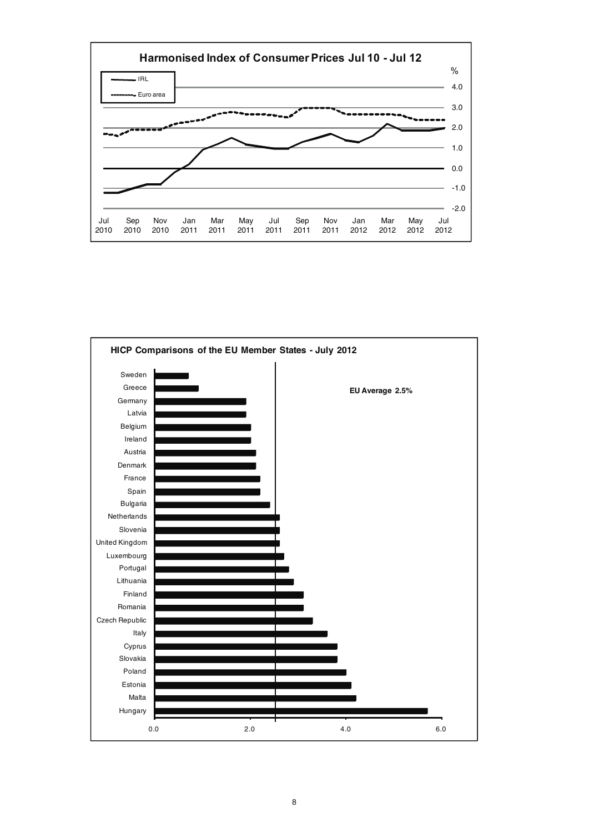

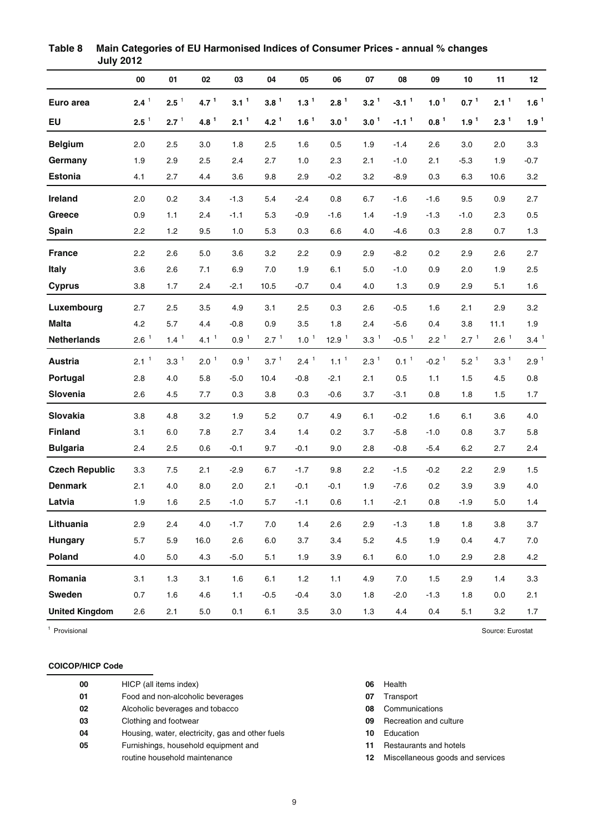|                       | 00               | 01               | 02               | 03               | 04               | 05               | 06               | 07               | 08                  | 09               | 10               | 11               | 12               |
|-----------------------|------------------|------------------|------------------|------------------|------------------|------------------|------------------|------------------|---------------------|------------------|------------------|------------------|------------------|
| Euro area             | $2.4^1$          | $2.5-1$          | 4.7 <sup>1</sup> | 3.1 <sup>1</sup> | $3.8^1$          | 1.3 <sup>1</sup> | 2.8 <sup>1</sup> | 3.2 <sup>1</sup> | $-3.11$             | 1.0 <sup>1</sup> | $0.7^1$          | 2.1 <sup>1</sup> | $1.6^1$          |
| <b>EU</b>             | $2.5-1$          | 2.7 <sup>1</sup> | 4.8 <sup>1</sup> | 2.1 <sup>1</sup> | 4.2 <sup>1</sup> | $1.6^1$          | 3.0 <sup>1</sup> | 3.0 <sup>1</sup> | $-1.1$ <sup>1</sup> | $0.8^1$          | 1.9 <sup>1</sup> | 2.3 <sup>1</sup> | 1.9 <sup>1</sup> |
| <b>Belgium</b>        | 2.0              | 2.5              | 3.0              | 1.8              | 2.5              | 1.6              | 0.5              | 1.9              | $-1.4$              | 2.6              | 3.0              | 2.0              | 3.3              |
| Germany               | 1.9              | 2.9              | 2.5              | 2.4              | 2.7              | 1.0              | 2.3              | 2.1              | $-1.0$              | 2.1              | $-5.3$           | 1.9              | $-0.7$           |
| <b>Estonia</b>        | 4.1              | 2.7              | 4.4              | 3.6              | 9.8              | 2.9              | $-0.2$           | 3.2              | $-8.9$              | 0.3              | 6.3              | 10.6             | 3.2              |
| Ireland               | 2.0              | 0.2              | 3.4              | $-1.3$           | 5.4              | $-2.4$           | 0.8              | 6.7              | $-1.6$              | $-1.6$           | 9.5              | 0.9              | 2.7              |
| Greece                | 0.9              | 1.1              | 2.4              | $-1.1$           | 5.3              | $-0.9$           | $-1.6$           | 1.4              | $-1.9$              | $-1.3$           | $-1.0$           | 2.3              | 0.5              |
| <b>Spain</b>          | 2.2              | 1.2              | 9.5              | 1.0              | 5.3              | 0.3              | 6.6              | 4.0              | $-4.6$              | 0.3              | 2.8              | 0.7              | 1.3              |
| <b>France</b>         | 2.2              | 2.6              | 5.0              | 3.6              | 3.2              | 2.2              | 0.9              | 2.9              | $-8.2$              | 0.2              | 2.9              | 2.6              | 2.7              |
| <b>Italy</b>          | 3.6              | 2.6              | 7.1              | 6.9              | 7.0              | 1.9              | 6.1              | 5.0              | $-1.0$              | 0.9              | 2.0              | 1.9              | 2.5              |
| <b>Cyprus</b>         | 3.8              | 1.7              | 2.4              | -2.1             | 10.5             | -0.7             | 0.4              | 4.0              | 1.3                 | 0.9              | 2.9              | 5.1              | 1.6              |
| Luxembourg            | 2.7              | 2.5              | 3.5              | 4.9              | 3.1              | 2.5              | 0.3              | 2.6              | $-0.5$              | 1.6              | 2.1              | 2.9              | 3.2              |
| <b>Malta</b>          | 4.2              | 5.7              | 4.4              | $-0.8$           | 0.9              | 3.5              | 1.8              | 2.4              | $-5.6$              | 0.4              | 3.8              | 11.1             | 1.9              |
| <b>Netherlands</b>    | 2.6 <sup>1</sup> | 1.4 <sup>1</sup> | 4.1 <sup>1</sup> | $0.9-1$          | 2.7 <sup>1</sup> | $1.0-1$          | $12.9-1$         | $3.3-1$          | $-0.5-1$            | 2.2 <sup>1</sup> | 2.7 <sup>1</sup> | $2.6-1$          | 3.4 <sup>1</sup> |
| <b>Austria</b>        | 2.1 <sup>1</sup> | 3.3 <sup>1</sup> | $2.0-1$          | $0.9-1$          | $3.7^1$          | 2.4 <sup>1</sup> | 1.1 <sup>1</sup> | 2.3 <sup>1</sup> | 0.1 <sup>1</sup>    | $-0.21$          | $5.2^1$          | $3.3^1$          | 2.9 <sup>1</sup> |
| Portugal              | 2.8              | 4.0              | 5.8              | $-5.0$           | 10.4             | $-0.8$           | $-2.1$           | 2.1              | 0.5                 | 1.1              | 1.5              | 4.5              | 0.8              |
| Slovenia              | 2.6              | 4.5              | 7.7              | 0.3              | 3.8              | 0.3              | $-0.6$           | 3.7              | $-3.1$              | 0.8              | 1.8              | 1.5              | 1.7              |
| Slovakia              | 3.8              | 4.8              | 3.2              | 1.9              | 5.2              | 0.7              | 4.9              | 6.1              | $-0.2$              | 1.6              | 6.1              | 3.6              | 4.0              |
| <b>Finland</b>        | 3.1              | 6.0              | 7.8              | 2.7              | 3.4              | 1.4              | 0.2              | 3.7              | $-5.8$              | $-1.0$           | 0.8              | 3.7              | 5.8              |
| <b>Bulgaria</b>       | 2.4              | 2.5              | 0.6              | $-0.1$           | 9.7              | $-0.1$           | 9.0              | 2.8              | $-0.8$              | $-5.4$           | 6.2              | 2.7              | 2.4              |
| <b>Czech Republic</b> | 3.3              | 7.5              | 2.1              | $-2.9$           | 6.7              | $-1.7$           | 9.8              | 2.2              | $-1.5$              | $-0.2$           | 2.2              | 2.9              | 1.5              |
| <b>Denmark</b>        | 2.1              | 4.0              | 8.0              | 2.0              | 2.1              | $-0.1$           | $-0.1$           | 1.9              | $-7.6$              | 0.2              | 3.9              | 3.9              | 4.0              |
| Latvia                | 1.9              | 1.6              | 2.5              | $-1.0$           | 5.7              | $-1.1$           | 0.6              | 1.1              | $-2.1$              | 0.8              | $-1.9$           | 5.0              | 1.4              |
| Lithuania             | 2.9              | 2.4              | $4.0$            | $-1.7$           | $7.0\,$          | 1.4              | 2.6              | 2.9              | $-1.3$              | 1.8              | 1.8              | $3.8\,$          | 3.7              |
| Hungary               | 5.7              | 5.9              | 16.0             | 2.6              | $6.0\,$          | 3.7              | 3.4              | $5.2\,$          | 4.5                 | 1.9              | 0.4              | 4.7              | $7.0\,$          |
| Poland                | 4.0              | $5.0\,$          | 4.3              | $-5.0$           | 5.1              | 1.9              | 3.9              | 6.1              | $6.0\,$             | $1.0$            | 2.9              | 2.8              | 4.2              |
| Romania               | 3.1              | $1.3$            | 3.1              | 1.6              | 6.1              | $1.2\,$          | 1.1              | 4.9              | 7.0                 | 1.5              | 2.9              | 1.4              | 3.3              |
| Sweden                | 0.7              | 1.6              | 4.6              | 1.1              | $-0.5$           | $-0.4$           | 3.0              | 1.8              | $-2.0$              | $-1.3$           | 1.8              | 0.0              | 2.1              |
| <b>United Kingdom</b> | 2.6              | 2.1              | $5.0\,$          | 0.1              | 6.1              | 3.5              | 3.0              | 1.3              | 4.4                 | 0.4              | 5.1              | 3.2              | 1.7              |

**Table 8 Main Categories of EU Harmonised Indices of Consumer Prices - annual % changes July 2012**

<sup>1</sup> Provisional Source: Eurostat

## **COICOP/HICP Code**

| 00 | HICP (all items index)                           |
|----|--------------------------------------------------|
| 01 | Food and non-alcoholic beverages                 |
| 02 | Alcoholic beverages and tobacco                  |
| 03 | Clothing and footwear                            |
| 04 | Housing, water, electricity, gas and other fuels |
| 05 | Furnishings, household equipment and             |
|    | routine household maintenance                    |

- **06** Health
- **07** Transport
- **08** Communications
- **09** Recreation and culture
- **10** Education
- **11** Restaurants and hotels
- 12 Miscellaneous goods and services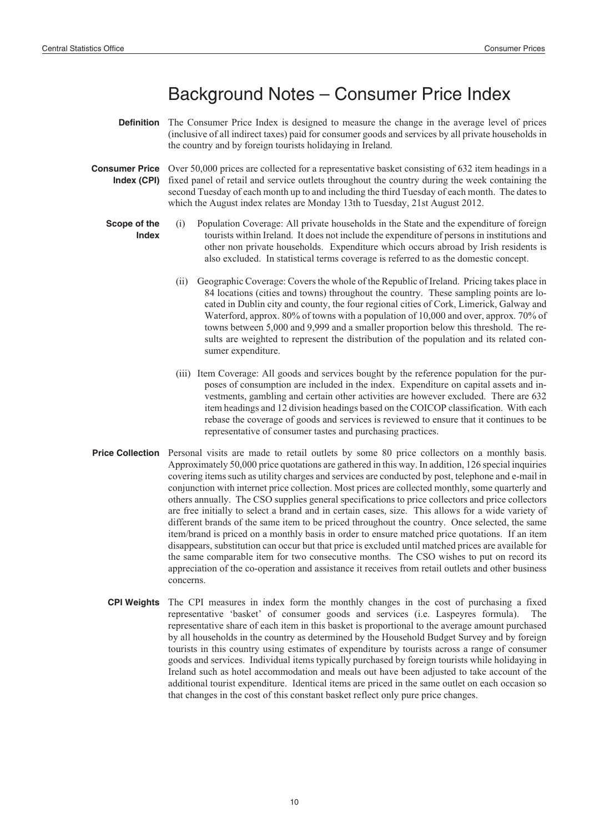## Background Notes – Consumer Price Index

- **Definition** The Consumer Price Index is designed to measure the change in the average level of prices (inclusive of all indirect taxes) paid for consumer goods and services by all private households in the country and by foreign tourists holidaying in Ireland.
- **Consumer Price Index (CPI)** Over 50,000 prices are collected for a representative basket consisting of 632 item headings in a fixed panel of retail and service outlets throughout the country during the week containing the second Tuesday of each month up to and including the third Tuesday of each month. The dates to which the August index relates are Monday 13th to Tuesday, 21st August 2012.
	- **Scope of the Index**
		- (i) Population Coverage: All private households in the State and the expenditure of foreign tourists within Ireland. It does not include the expenditure of persons in institutions and other non private households. Expenditure which occurs abroad by Irish residents is also excluded. In statistical terms coverage is referred to as the domestic concept.
		- (ii) Geographic Coverage: Covers the whole of the Republic of Ireland. Pricing takes place in 84 locations (cities and towns) throughout the country. These sampling points are located in Dublin city and county, the four regional cities of Cork, Limerick, Galway and Waterford, approx. 80% of towns with a population of 10,000 and over, approx. 70% of towns between 5,000 and 9,999 and a smaller proportion below this threshold. The results are weighted to represent the distribution of the population and its related consumer expenditure.
		- (iii) Item Coverage: All goods and services bought by the reference population for the purposes of consumption are included in the index. Expenditure on capital assets and investments, gambling and certain other activities are however excluded. There are 632 item headings and 12 division headings based on the COICOP classification. With each rebase the coverage of goods and services is reviewed to ensure that it continues to be representative of consumer tastes and purchasing practices.
- **Price Collection** Personal visits are made to retail outlets by some 80 price collectors on a monthly basis. Approximately 50,000 price quotations are gathered in this way. In addition, 126 special inquiries covering items such as utility charges and services are conducted by post, telephone and e-mail in conjunction with internet price collection. Most prices are collected monthly, some quarterly and others annually. The CSO supplies general specifications to price collectors and price collectors are free initially to select a brand and in certain cases, size. This allows for a wide variety of different brands of the same item to be priced throughout the country. Once selected, the same item/brand is priced on a monthly basis in order to ensure matched price quotations. If an item disappears, substitution can occur but that price is excluded until matched prices are available for the same comparable item for two consecutive months. The CSO wishes to put on record its appreciation of the co-operation and assistance it receives from retail outlets and other business concerns.
	- **CPI Weights** The CPI measures in index form the monthly changes in the cost of purchasing a fixed representative 'basket' of consumer goods and services (i.e. Laspeyres formula). The representative share of each item in this basket is proportional to the average amount purchased by all households in the country as determined by the Household Budget Survey and by foreign tourists in this country using estimates of expenditure by tourists across a range of consumer goods and services. Individual items typically purchased by foreign tourists while holidaying in Ireland such as hotel accommodation and meals out have been adjusted to take account of the additional tourist expenditure. Identical items are priced in the same outlet on each occasion so that changes in the cost of this constant basket reflect only pure price changes.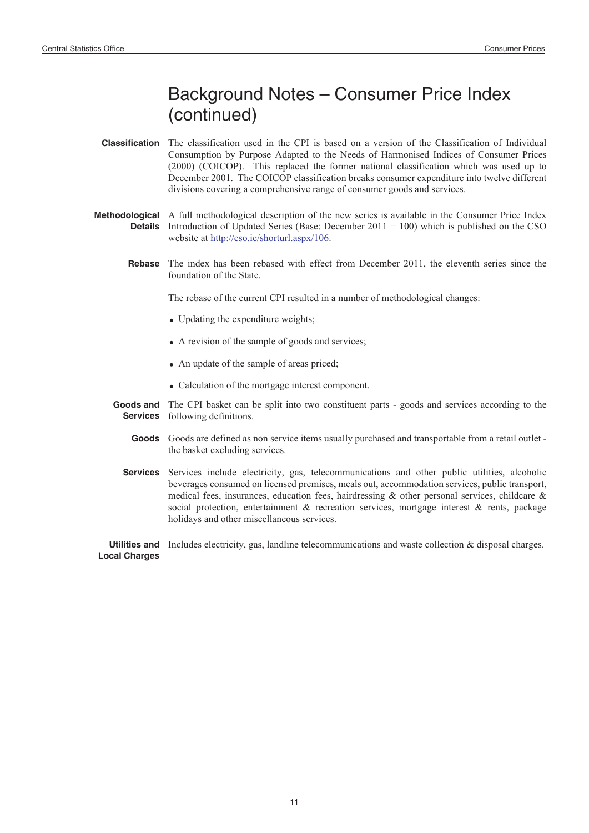# Background Notes – Consumer Price Index (continued)

- **Classification** The classification used in the CPI is based on a version of the Classification of Individual Consumption by Purpose Adapted to the Needs of Harmonised Indices of Consumer Prices (2000) (COICOP). This replaced the former national classification which was used up to December 2001. The COICOP classification breaks consumer expenditure into twelve different divisions covering a comprehensive range of consumer goods and services.
- **Methodological** A full methodological description of the new series is available in the Consumer Price Index **Details** Introduction of Updated Series (Base: December 2011 = 100) which is published on the CSO website at http://cso.ie/shorturl.aspx/106.
	- **Rebase** The index has been rebased with effect from December 2011, the eleventh series since the foundation of the State.

The rebase of the current CPI resulted in a number of methodological changes:

- Updating the expenditure weights;
- A revision of the sample of goods and services;
- An update of the sample of areas priced;
- Calculation of the mortgage interest component.
- Goods and The CPI basket can be split into two constituent parts goods and services according to the **Services** following definitions.
	- Goods Goods are defined as non service items usually purchased and transportable from a retail outlet the basket excluding services.
	- **Services** Services include electricity, gas, telecommunications and other public utilities, alcoholic beverages consumed on licensed premises, meals out, accommodation services, public transport, medical fees, insurances, education fees, hairdressing  $\&$  other personal services, childcare  $\&$ social protection, entertainment  $\&$  recreation services, mortgage interest  $\&$  rents, package holidays and other miscellaneous services.

Utilities and Includes electricity, gas, landline telecommunications and waste collection & disposal charges. **Local Charges**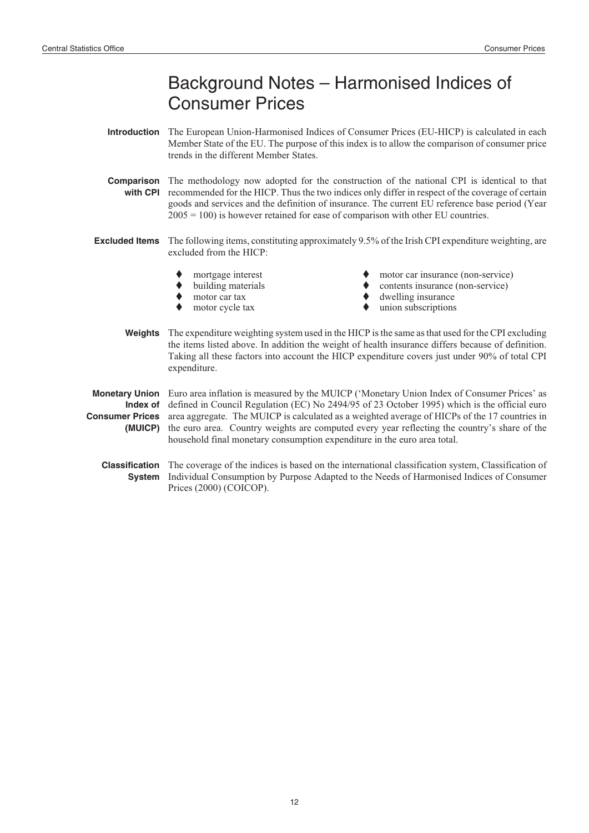# Background Notes – Harmonised Indices of Consumer Prices

- **Introduction** The European Union-Harmonised Indices of Consumer Prices (EU-HICP) is calculated in each Member State of the EU. The purpose of this index is to allow the comparison of consumer price trends in the different Member States.
- **Comparison** The methodology now adopted for the construction of the national CPI is identical to that with CPI recommended for the HICP. Thus the two indices only differ in respect of the coverage of certain goods and services and the definition of insurance. The current EU reference base period (Year  $2005 = 100$ ) is however retained for ease of comparison with other EU countries.
- **Excluded Items** The following items, constituting approximately 9.5% of the Irish CPI expenditure weighting, are excluded from the HICP:
	- $\blacklozenge$ mortgage interest
	- $\blacklozenge$ building materials
	- $\blacktriangle$ motor car tax
	- $\blacklozenge$ motor cycle tax
- motor car insurance (non-service)
- contents insurance (non-service)
- dwelling insurance
	- union subscriptions
- **Weights** The expenditure weighting system used in the HICP is the same as that used for the CPI excluding the items listed above. In addition the weight of health insurance differs because of definition. Taking all these factors into account the HICP expenditure covers just under 90% of total CPI expenditure.

**Monetary Union** Euro area inflation is measured by the MUICP ('Monetary Union Index of Consumer Prices' as **Index of Consumer Prices (MUICP)** defined in Council Regulation (EC) No 2494/95 of 23 October 1995) which is the official euro area aggregate. The MUICP is calculated as a weighted average of HICPs of the 17 countries in the euro area. Country weights are computed every year reflecting the country's share of the household final monetary consumption expenditure in the euro area total.

**Classification** The coverage of the indices is based on the international classification system, Classification of **System** Individual Consumption by Purpose Adapted to the Needs of Harmonised Indices of Consumer Prices (2000) (COICOP).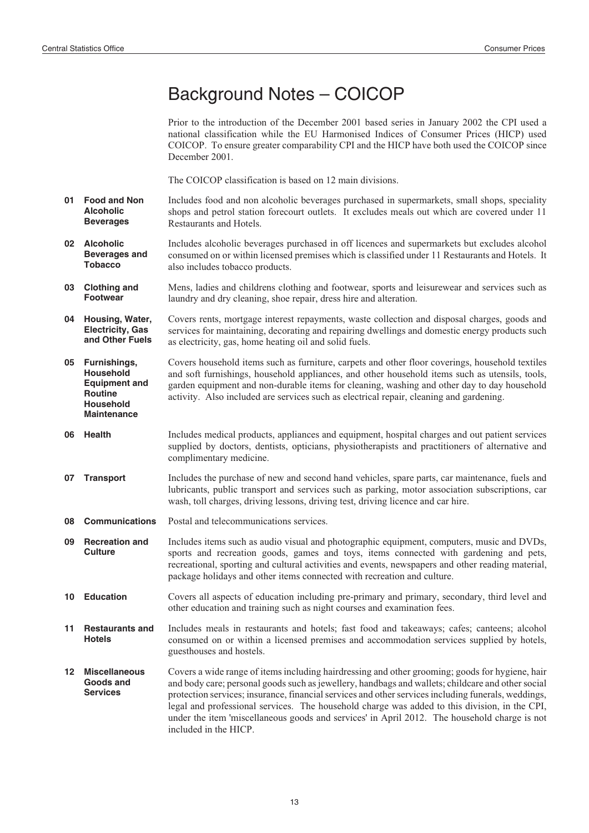## Background Notes – COICOP

Prior to the introduction of the December 2001 based series in January 2002 the CPI used a national classification while the EU Harmonised Indices of Consumer Prices (HICP) used COICOP. To ensure greater comparability CPI and the HICP have both used the COICOP since December 2001.

The COICOP classification is based on 12 main divisions.

- **01 Food and Non Alcoholic Beverages** Includes food and non alcoholic beverages purchased in supermarkets, small shops, speciality shops and petrol station forecourt outlets. It excludes meals out which are covered under 11 Restaurants and Hotels.
- **02 Alcoholic Beverages and Tobacco** Includes alcoholic beverages purchased in off licences and supermarkets but excludes alcohol consumed on or within licensed premises which is classified under 11 Restaurants and Hotels. It also includes tobacco products.
- **03 Clothing and Footwear** Mens, ladies and childrens clothing and footwear, sports and leisurewear and services such as laundry and dry cleaning, shoe repair, dress hire and alteration.
- **04 Housing, Water, Electricity, Gas and Other Fuels** Covers rents, mortgage interest repayments, waste collection and disposal charges, goods and services for maintaining, decorating and repairing dwellings and domestic energy products such as electricity, gas, home heating oil and solid fuels.
- **05 Furnishings, Household Equipment and Routine Household Maintenance** Covers household items such as furniture, carpets and other floor coverings, household textiles and soft furnishings, household appliances, and other household items such as utensils, tools, garden equipment and non-durable items for cleaning, washing and other day to day household activity. Also included are services such as electrical repair, cleaning and gardening.
- **06 Health** Includes medical products, appliances and equipment, hospital charges and out patient services supplied by doctors, dentists, opticians, physiotherapists and practitioners of alternative and complimentary medicine.
- **07 Transport** Includes the purchase of new and second hand vehicles, spare parts, car maintenance, fuels and lubricants, public transport and services such as parking, motor association subscriptions, car wash, toll charges, driving lessons, driving test, driving licence and car hire.
- **08 Communications** Postal and telecommunications services.
- **09 Recreation and Culture** Includes items such as audio visual and photographic equipment, computers, music and DVDs, sports and recreation goods, games and toys, items connected with gardening and pets, recreational, sporting and cultural activities and events, newspapers and other reading material, package holidays and other items connected with recreation and culture.
- **10 Education** Covers all aspects of education including pre-primary and primary, secondary, third level and other education and training such as night courses and examination fees.
- **11 Restaurants and Hotels** Includes meals in restaurants and hotels; fast food and takeaways; cafes; canteens; alcohol consumed on or within a licensed premises and accommodation services supplied by hotels, guesthouses and hostels.
- **12 Miscellaneous Goods and Services** Covers a wide range of items including hairdressing and other grooming; goods for hygiene, hair and body care; personal goods such as jewellery, handbags and wallets; childcare and other social protection services; insurance, financial services and other services including funerals, weddings, legal and professional services. The household charge was added to this division, in the CPI, under the item 'miscellaneous goods and services' in April 2012. The household charge is not included in the HICP.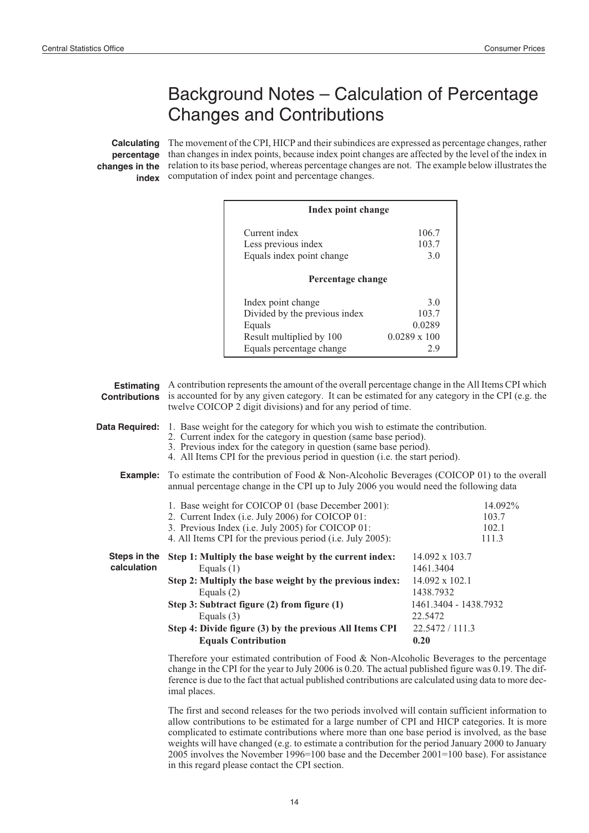# Background Notes – Calculation of Percentage Changes and Contributions

**Calculating** The movement of the CPI, HICP and their subindices are expressed as percentage changes, rather **percentage** than changes in index points, because index point changes are affected by the level of the index in **changes in the** relation to its base period, whereas percentage changes are not. The example below illustrates the **index** computation of index point and percentage changes.

|                                           |                                              | Index point change                                                                                                                                                                                                                                                                                           |                                                                                                                           |                                    |  |  |  |  |
|-------------------------------------------|----------------------------------------------|--------------------------------------------------------------------------------------------------------------------------------------------------------------------------------------------------------------------------------------------------------------------------------------------------------------|---------------------------------------------------------------------------------------------------------------------------|------------------------------------|--|--|--|--|
|                                           |                                              | Current index<br>Less previous index<br>Equals index point change                                                                                                                                                                                                                                            | 106.7<br>103.7<br>3.0                                                                                                     |                                    |  |  |  |  |
|                                           |                                              | Percentage change                                                                                                                                                                                                                                                                                            |                                                                                                                           |                                    |  |  |  |  |
|                                           |                                              | Index point change<br>Divided by the previous index<br>Equals<br>Result multiplied by 100<br>Equals percentage change                                                                                                                                                                                        | 3.0<br>103.7<br>0.0289<br>$0.0289 \times 100$<br>2.9                                                                      |                                    |  |  |  |  |
| <b>Estimating</b><br><b>Contributions</b> |                                              | A contribution represents the amount of the overall percentage change in the All Items CPI which<br>is accounted for by any given category. It can be estimated for any category in the CPI (e.g. the<br>twelve COICOP 2 digit divisions) and for any period of time.                                        |                                                                                                                           |                                    |  |  |  |  |
| Data Required:                            |                                              | 1. Base weight for the category for which you wish to estimate the contribution.<br>2. Current index for the category in question (same base period).<br>3. Previous index for the category in question (same base period).<br>4. All Items CPI for the previous period in question (i.e. the start period). |                                                                                                                           |                                    |  |  |  |  |
| Example:                                  |                                              | To estimate the contribution of Food & Non-Alcoholic Beverages (COICOP 01) to the overall<br>annual percentage change in the CPI up to July 2006 you would need the following data                                                                                                                           |                                                                                                                           |                                    |  |  |  |  |
|                                           |                                              | 1. Base weight for COICOP 01 (base December 2001):<br>2. Current Index (i.e. July 2006) for COICOP 01:<br>3. Previous Index (i.e. July 2005) for COICOP 01:<br>4. All Items CPI for the previous period (i.e. July 2005):                                                                                    |                                                                                                                           | 14.092%<br>103.7<br>102.1<br>111.3 |  |  |  |  |
| Steps in the<br>calculation               | Equals $(1)$<br>Equals $(2)$<br>Equals $(3)$ | Step 1: Multiply the base weight by the current index:<br>Step 2: Multiply the base weight by the previous index:<br>Step 3: Subtract figure (2) from figure (1)<br>Step 4: Divide figure (3) by the previous All Items CPI<br><b>Equals Contribution</b>                                                    | 14.092 x 103.7<br>1461.3404<br>14.092 x 102.1<br>1438.7932<br>1461.3404 - 1438.7932<br>22.5472<br>22.5472 / 111.3<br>0.20 |                                    |  |  |  |  |
|                                           |                                              | Therefore your estimated contribution of Food & Non-Alcoholic Beverages to the percentage<br>change in the CPI for the year to July 2006 is 0.20. The actual published figure was 0.10. The dif                                                                                                              |                                                                                                                           |                                    |  |  |  |  |

year to July 2006 is 0.20. The actual published figure was 0.19. The difference is due to the fact that actual published contributions are calculated using data to more decimal places.

The first and second releases for the two periods involved will contain sufficient information to allow contributions to be estimated for a large number of CPI and HICP categories. It is more complicated to estimate contributions where more than one base period is involved, as the base weights will have changed (e.g. to estimate a contribution for the period January 2000 to January 2005 involves the November 1996=100 base and the December 2001=100 base). For assistance in this regard please contact the CPI section.